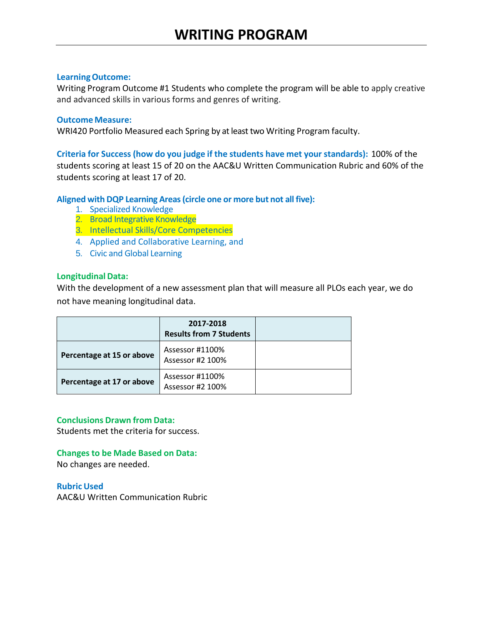Writing Program Outcome #1 Students who complete the program will be able to apply creative and advanced skills in various forms and genres of writing.

## **Outcome Measure:**

WRI420 Portfolio Measured each Spring by at least two Writing Program faculty.

**Criteria for Success (how do you judge if the students have met your standards):** 100% of the students scoring at least 15 of 20 on the AAC&U Written Communication Rubric and 60% of the students scoring at least 17 of 20.

# **Aligned with DQP Learning Areas(circle one or more but not all five):**

- 1. Specialized Knowledge
- 2. Broad Integrative Knowledge
- 3. Intellectual Skills/Core Competencies
- 4. Applied and Collaborative Learning, and
- 5. Civic and Global Learning

# **LongitudinalData:**

With the development of a new assessment plan that will measure all PLOs each year, we do not have meaning longitudinal data.

|                           | 2017-2018<br><b>Results from 7 Students</b> |  |
|---------------------------|---------------------------------------------|--|
| Percentage at 15 or above | Assessor #1100%<br>Assessor #2 100%         |  |
| Percentage at 17 or above | Assessor #1100%<br>Assessor #2 100%         |  |

# **Conclusions Drawn from Data:**

Students met the criteria for success.

# **Changes to be Made Based on Data:**

No changes are needed.

**Rubric Used** AAC&U Written Communication Rubric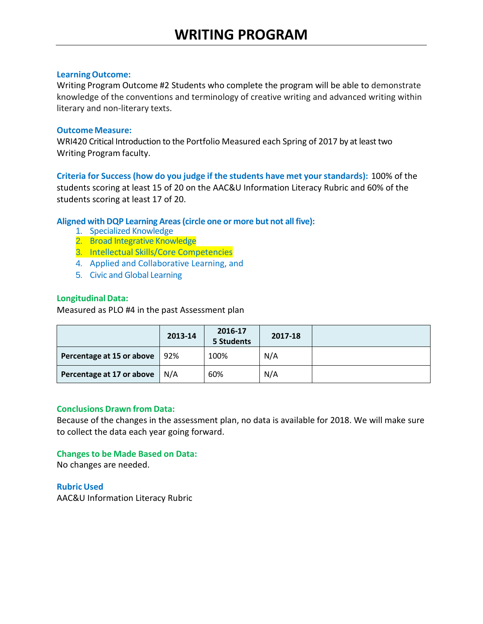Writing Program Outcome #2 Students who complete the program will be able to demonstrate knowledge of the conventions and terminology of creative writing and advanced writing within literary and non-literary texts.

## **Outcome Measure:**

WRI420 Critical Introduction to the Portfolio Measured each Spring of 2017 by at least two Writing Program faculty.

**Criteria for Success (how do you judge if the students have met your standards):** 100% of the students scoring at least 15 of 20 on the AAC&U Information Literacy Rubric and 60% of the students scoring at least 17 of 20.

# **Aligned with DQP Learning Areas(circle one or more but not all five):**

- 1. Specialized Knowledge
- 2. Broad Integrative Knowledge
- 3. Intellectual Skills/Core Competencies
- 4. Applied and Collaborative Learning, and
- 5. Civic and Global Learning

## **LongitudinalData:**

Measured as PLO #4 in the past Assessment plan

|                           | 2013-14 | 2016-17<br>5 Students | 2017-18 |  |
|---------------------------|---------|-----------------------|---------|--|
| Percentage at 15 or above | 92%     | 100%                  | N/A     |  |
| Percentage at 17 or above | N/A     | 60%                   | N/A     |  |

# **Conclusions Drawn from Data:**

Because of the changes in the assessment plan, no data is available for 2018. We will make sure to collect the data each year going forward.

# **Changes to be Made Based on Data:**

No changes are needed.

**Rubric Used** AAC&U Information Literacy Rubric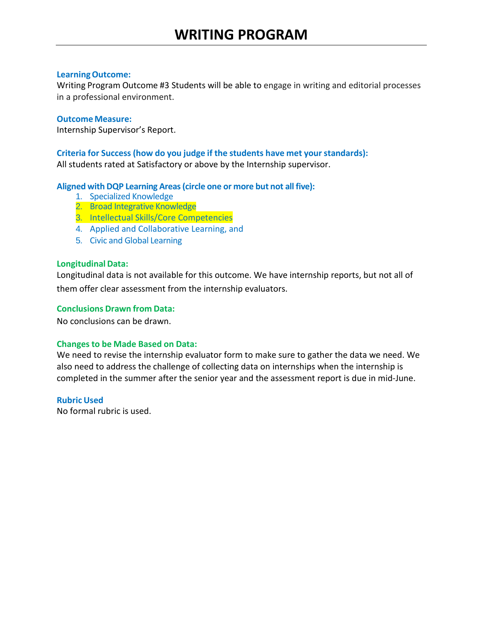Writing Program Outcome #3 Students will be able to engage in writing and editorial processes in a professional environment.

## **Outcome Measure:**

Internship Supervisor's Report.

## **Criteria for Success (how do you judge if the students have met your standards):**

All students rated at Satisfactory or above by the Internship supervisor.

## **Aligned with DQP Learning Areas(circle one or more but not all five):**

- 1. Specialized Knowledge
- 2. Broad Integrative Knowledge
- 3. Intellectual Skills/Core Competencies
- 4. Applied and Collaborative Learning, and
- 5. Civic and Global Learning

## **LongitudinalData:**

Longitudinal data is not available for this outcome. We have internship reports, but not all of them offer clear assessment from the internship evaluators.

#### **Conclusions Drawn from Data:**

No conclusions can be drawn.

# **Changes to be Made Based on Data:**

We need to revise the internship evaluator form to make sure to gather the data we need. We also need to address the challenge of collecting data on internships when the internship is completed in the summer after the senior year and the assessment report is due in mid-June.

#### **Rubric Used**

No formal rubric is used.